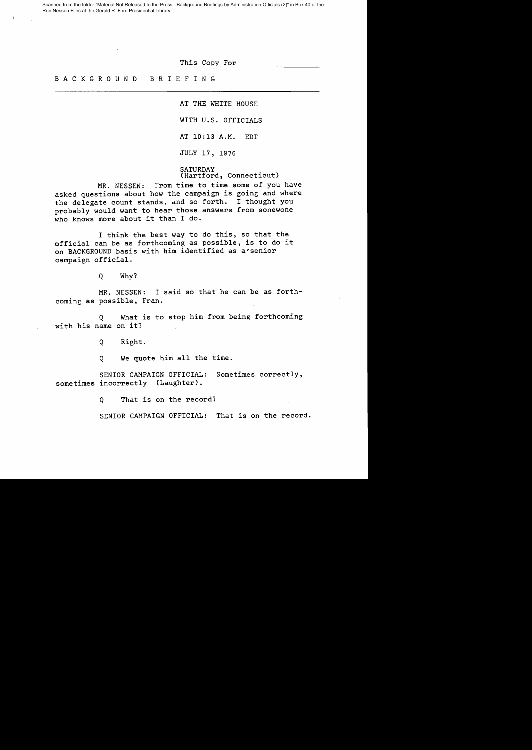Scanned from the folder "Material Not Released to the Press - Background Briefings by Administration Officials (2)" in Box 40 of the Ron Nessen Files at the Gerald R. Ford Presidential Library

This Copy For

## B A C K G R 0 U N D B R I E FIN G

AT THE WHITE HOUSE

WITH U.S. OFFICIALS

AT 10:13 A.M. EDT

JULY 17, 1976

SATURDAY (Hartford, Connecticut)

MR. NESSEN: From time to time some of you have asked questions about how the campaign is going and where the delegate count stands, and so forth. I thought you probably would want to hear those answers from sonewone who knows more about it than I do.

I think the best way to do this, so that the official can be as forthcoming as possible, is to do it on BACKGROUND basis with him identified as a~senior campaign official.

Q Why?

MR. NESSEN: I said so that he can be as forthcoming as possible, Fran.

Q What is to stop him from being forthcoming with his name on it?

Q Right.

Q We quote him all the time.

SENIOR CAMPAIGN OFFICIAL: Sometimes correctly, sometimes incorrectly (Laughter).

Q That is on the record?

SENIOR CAMPAIGN OFFICIAL: That is on the record.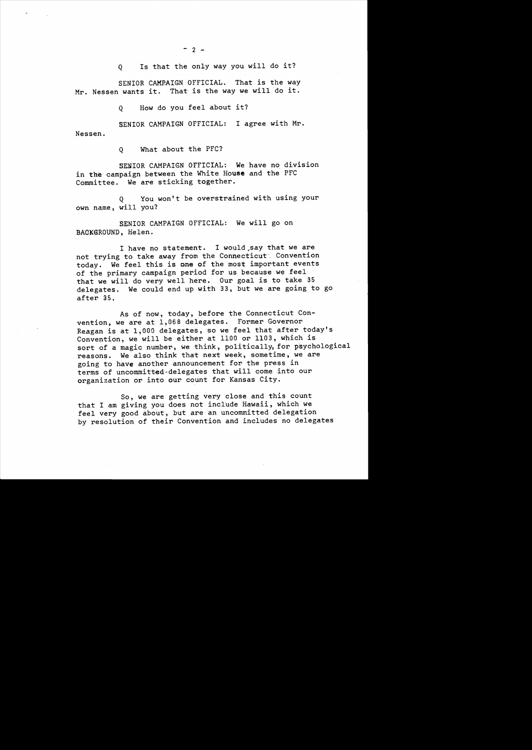Q Is that the only way you will do it?

SENIOR CAMPAIGN OFFICIAL. That is the way Mr. Nessen wants it. That is the way we will do it.

Q How do you feel about it?

SENIOR CAMPAIGN OFFICIAL: I agree with Mr. Nessen.

Q What about the PFC?

SENIOR CAMPAIGN OFFICIAL: We have no division in the campaign between the White House and the PFC Committee. We are sticking together.

Q You won't be overstrained with using your own name, will you?

SENIOR CAMPAIGN OFFICIAL: We will go on BAOK@ROUND, Helen.

I have no statement. I would say that we are not trying to take away from the Connecticut. Convention today. We feel this is one of the most important events of the primary campaign period for us because we feel that we will do very well here. Our goal is to take 35 delegates. We could end up with 33, but we are going to go after 35.

As of now, today, before the Connecticut Convention, we are at 1,068 delegates. Former Governor Reagan is at 1,000 delegates, so we feel that after today's Convention, we will be either at 1100 or 1103, which is sort of a magic number, we think, politically, for psychological reasons. We also think that next week, sometime, we are going to have another announcement for the press in terms of uncommitted-delegates that will come into our organization or into our count for Kansas City.

So, we are getting very close and this count that I am giving you does not include Hawaii, which we feel very good about, but are an uncommitted delegation by resolution of their Convention and includes no delegates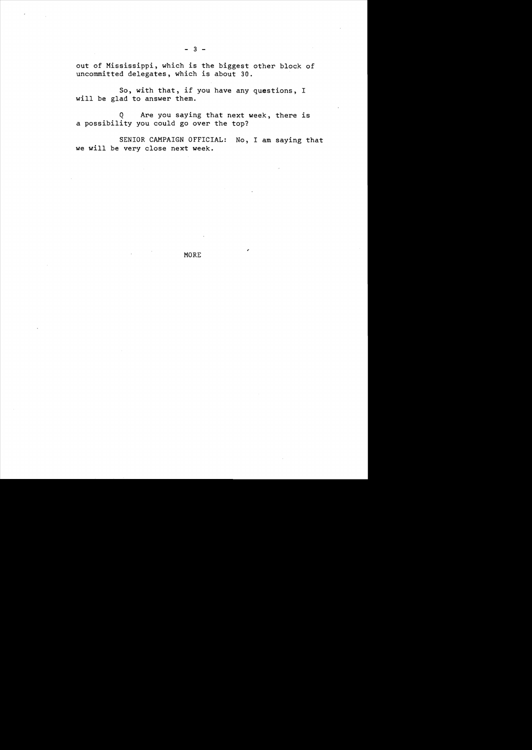out of Mississippi, which is the biggest other block of uncommitted delegates, which is about 30.

So, with that, if you have any questions, I will be glad to answer them.

Q Are you saying that next week, there is a possibility you could go over the top?

SENIOR CAMPAIGN OFFICIAL: No, I am saying that we will be very close next week.

MORE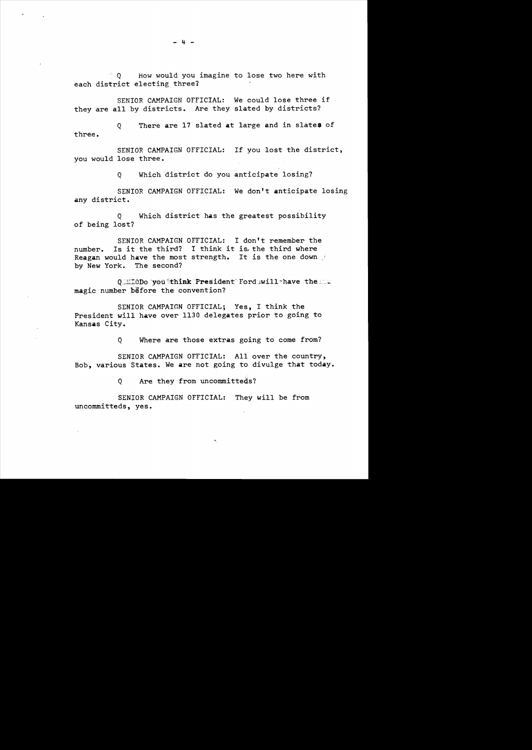$\%$  0  $\%$  How would you imagine to lose two here with each district electing three?

they are all by districts. Are they slated by districts? SENIOR CAMPAIGN OFFICIAL: We could lose three if

three. Q There are 17 slated at large and in slates of

SENIOR CAMPAIGN OFFICIAL: If you lost the district, you would lose three.

Q Which district do you anticipate losing?

SENIOR CAMPAIGN OFFICIAL: We don't anticipate losing any district.

Q Which district has the greatest possibility of being lost?

SENIOR CAMPAIGN OFFICIAL: I don't remember the number. Is it the third? I think it is, the third where Reagan would have the most strength. It is the one down by New York. The second?

Q\_':::@Do 'you "think "President Forduwill-have the --magic number before the convention?

SENIOR CAMPAIGN OFFICIAL; Yes, I think the President will have over 1130 delegates prior to going to Kansas City.

Q Where are those extras going to come from?

"

SENIOR CAMPAIGN OFFICIAL: All over the country, Bob, various States. We are not going to divulge that today.

Q Are they from uncommitteds?

SENIOR CAMPAIGN OFFICIAL: They will be from uncommitteds, yes.

 $- 4 -$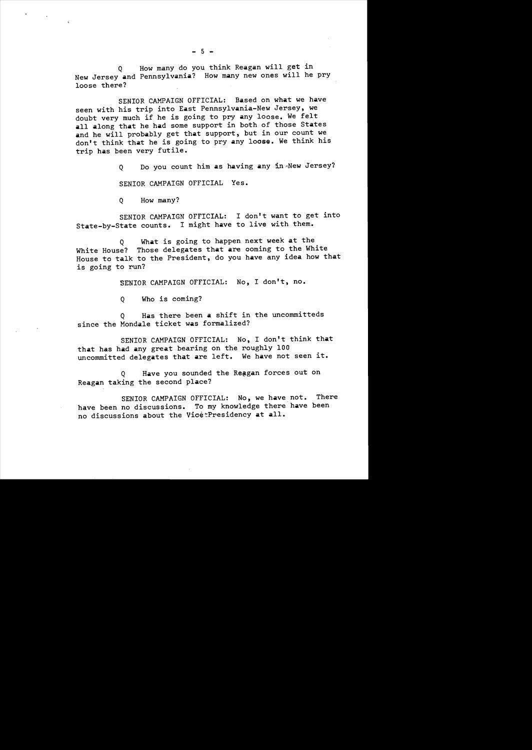Q How many do you think Reagan will get in New Jersey and Pennsylvania? How many new ones will he pry loose there?

SENIOR CAMPAIGN OFFICIAL: Based on what we have seen with his trip into East Pennsylvania-New Jersey, we doubt very much if he is going to pry any loose. We felt all along that he had some support in both of those States and he will probably get that support, but in our count we don't think that he is going to pry any loose. We think his trip has been very futile.

Q Do you count him as having any in·New Jersey?

SENIOR CAMPAIGN OFFICIAL Yes.

Q How many?

SENIOR CAMPAIGN OFFICIAL: I don't want to get into State-by-State counts. I might have to live with them.

Q What is going to happen next week at the White House? Those delegates that are coming to the White House to talk to the President, do you have any idea how that is going to run?

SENIOR CAMPAIGN OFFICIAL: No, I don't, no.

Q Who is coming?

Q Has there been a shift in the uncommitteds since the Monda1e ticket was formalized?

SENIOR CAMPAIGN OFFICIAL: No, I don't think that that has had any great bearing on the roughly 100 uncommitted delegates that are left. We have not seen it.

Q Have you sounded the Reagan forces out on Reagan taking the second place?

SENIOR CAMPAIGN OFFICIAL: No, we have not. There have been no discussions. To my knowledge there have been no discussions about the VicetPresidency at all.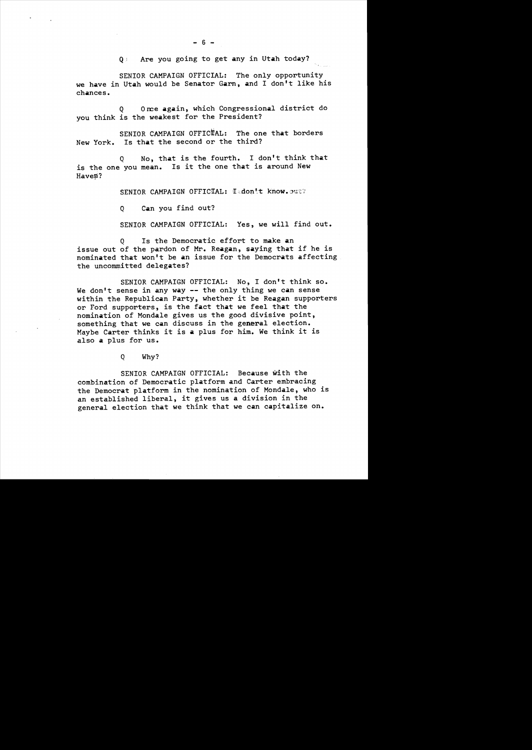Q: Are you going to get any in Utah today?

SENIOR CAMPAIGN OFFICIAL: The only opportunity we have in Utah would be Senator Garn, and I don't like his chances.

Q Once again, which Congressional district do you think is the weakest for the President?

SENIOR CAMPAIGN OFFICTAL: The one that borders New York. Is that the second or the third?

Q No, that is the fourth. I don't think that is the one you mean. Is it the one that is around New Haven?

SENIOR CAMPAIGN OFFICIAL: I=don't know.out?

Q Can you find out?

SENIOR CAMPAIGN OFFICIAL: Yes, we will find out.

Q Is the Democratic effort to make an issue out of the pardon of Mr. Reagan, saying that if he is nominated that won't be an issue for the Democrats affecting the uncommitted delegates?

SENIOR CAMPAIGN OFFICIAL: No, I don't think so. We don't sense in any way -- the only thing we can sense within the Republican Party, whether it be Reagan supporters or Ford supporters, is the fact that we feel that the nomination of Mondale gives us the good divisive point, something that we can discuss in the general election. Maybe Carter thinks it is a plus for him. We think it is also a plus for us.

Q Why?

SENIOR CAMPAIGN OFFICIAL: Because with the combination of Democratic platform and Carter embracing the Democrat platform in the nomination of Mondale, who is an established liberal, it gives us a division in the general election that we think that we can capitalize on.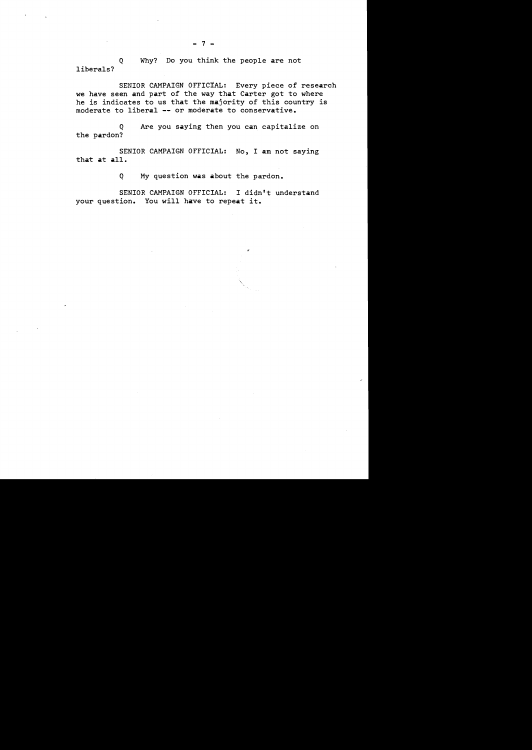Q Why? Do you think the people are not liberals?

SENIOR CAMPAIGN OFFICIAL: Every piece of research we have seen and part of the way that Carter got to where he is indicates to us that the majority of this country is moderate to liberal -- or moderate to conservative.

Q Are you saying then you can capitalize on the pardon?

SENIOR CAMPAIGN OFFICIAL: No, I am not saying that at all.

Q My question was about the pardon.

SENIOR CAMPAIGN OFFICIAL: I didn't understand your question. You will have to repeat it.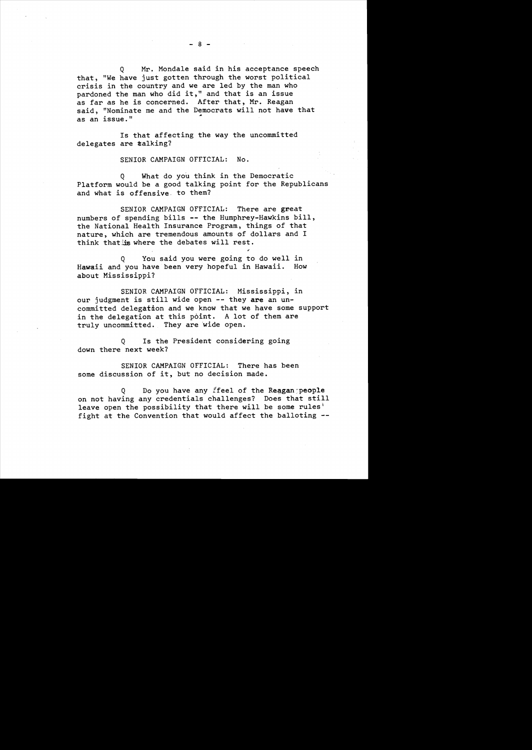Q Mr. Mondale said in his acceptance speech that, "We have just gotten through the worst political crisis in the country and we are led by the man who pardoned the man who did it," and that is an issue as far as he is concerned. After that, Mr. Reagan said, "Nominate me and the Democrats will not have that as an issue."

Is that affecting the way the uncommitted delegates are #alking?

SENIOR CAMPAIGN OFFICIAL: No.

Q What do you think in the Democratic Platform would be a good talking point for the Republicans and what is offensive. to them?

SENIOR CAMPAIGN OFFICIAL: There are great numbers of spending bills -- the Humphrey-Hawkins bill, the National Health Insurance Program, things of that nature, which are tremendous amounts of dollars and I think that is where the debates will rest.

..

Q You said you were going to do well in Hawaii and you have been very hopeful in Hawaii. How about Mississippi?

SENIOR CAMPAIGN OFFICIAL: Mississippi, in our judgment is still wide open -- they are an uncommitted delegation and we know that we have some support in the delegation at this point. A lot of them are truly uncommitted. They are 'wide open.

Q Is the President considering going down there next week?

SENIOR CAMPAIGN OFFICIAL: There has been some discussion of it, but no decision made.

 $Q$  Do you have any ffeel of the Reagan people on not having any credentials challenges? Does that still leave open the possibility that there will be some rules<sup>1</sup> fight at the Convention that would affect the balloting -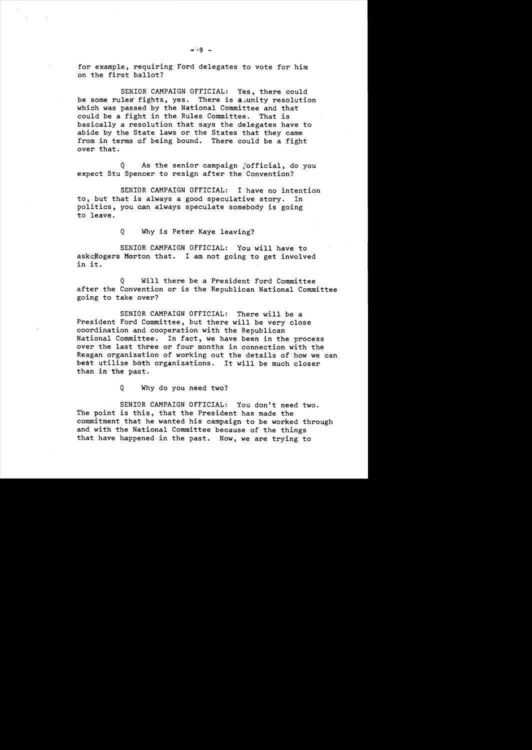for example, requiring Ford delegates to vote for him on the first ballot?

SENIOR CAMPAIGN OFFICIAL: Yes, there could be some rules fights, yes. There is a unity resolution which was passed by the National Committee and that could be a fight in the Rules Committee. That is basically a resolution that says the delegates have to abide by the State laws or the States that they came from in terms of being bound. There could be a fight over that.

Q As the senior campaign [official, do you expect Stu Spencer to resign after the Convention?

SENIOR CAMPAIGN OFFICIAL: I have no intention to, but that is always a good speculative story. In politics, you can always speculate somebody is going to leave.

Q Why is Peter Kaye leaving?

SENIOR CAMPAIGN OFFICIAL: You will have to ask-Rogers Morton that. I am not going to get involved in it.

Q Will there be a President Ford Committee after the Convention or is the Republican National Committee going to take'over?

SENIOR CAMPAIGN OFFICIAL: There will be a President Ford Committee, but there will be very close coordination and cooperation with the Republican National Committee. In fact, we have been in the process over the last three or four months in connection with the Reagan organization of working out the details of how we can best utilize both organizations. It will be much closer than in'the past.

Q Why do you need two?

SENIOR CAMPAIGN OFFICIAL: You don't need two. The point is this, that the President has made the commitment that he wanted his campaign to be worked through and with the National Committee because of the things that have happened in the past. Now, we are trying to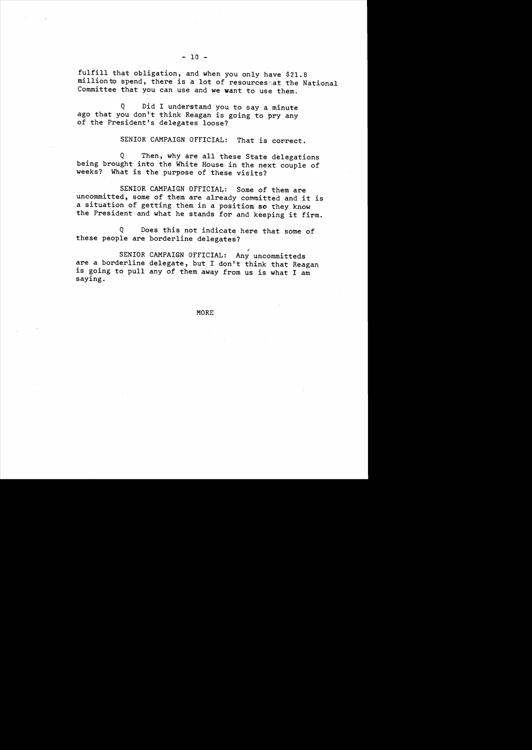fulfill that obligation, and when you only have \$21.8 million to spend, there is a lot of resources at the National Committee that you can use and we want to use them.

Q Did I understand you to say a minute ago that you don't think Reagan is going to pry any of the President's delegates loose?

SENIOR CAMPAIGN OFFICIAL: That is correct.

Q Then, why are all these State delegations being brought into the White House in the next couple of weeks? What is the purpose of these visits?

SENIOR CAMPAIGN OFFICIAL: Some of them are uncommitted, some of them are already committed and it is a situation of getting them in a position so they know the President and what he stands for and keeping it firm.

Q Does this not indicate here that some of these people are borderline delegates?

SENIOR CAMPAIGN OFFICIAL: Any uncommitteds are a borderline delegate, but I don't think that Reagan is going to pull any of them away from us is what I am saying.

MORE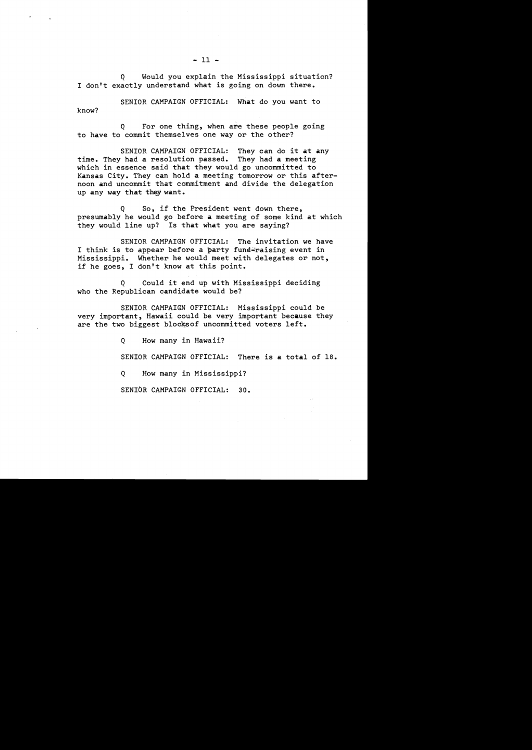know? SENIOR CAMPAIGN OFFICIAL: What do you want to

to have to commit themselves one way or the other? Q For one thing, when are these people going

SENIOR CAMPAIGN OFFICIAL: They can do it at any time. They had a resolution passed. They had a meeting which in essence said that they would go uncommitted to Kansas City. They can hold a meeting tomorrow or this afternoon and uncommit that commitment and divide the delegation up any way that *they* want.

Q So, if the President went down there, presumably he would go before a meeting of some kind at which they would line up? Is that what you are saying?

SENIOR CAMPAIGN OFFICIAL: The invitation we have I think is to appear before a party fund=raising event in Mississippi. Whether he would meet with delegates or not, if he goes, I don't know at this point.

Q Could it end up with Mississippi deciding who the Republican candidate would be?

SENIOR CAMPAIGN OFFICIAL: Mississippi could be very important, Hawaii could be very important because they are the two biggest blocks of uncommitted voters left.

Q How many in Hawaii?

SENIOR CAMPAIGN OFFICIAL: There is a total of 18.

Q How many in Mississippi?

SENIbR CAMPAIGN OFFICIAL: 30.